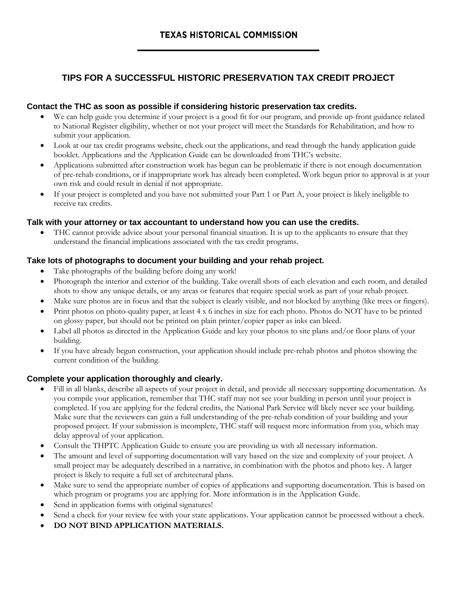# **TIPS FOR A SUCCESSFUL HISTORIC PRESERVATION TAX CREDIT PROJECT**

# **Contact the THC as soon as possible if considering historic preservation tax credits.**

- We can help guide you determine if your project is a good fit for our program, and provide up-front guidance related to National Register eligibility, whether or not your project will meet the Standards for Rehabilitation, and how to submit your application.
- Look at our tax credit programs website, check out the applications, and read through the handy application guide booklet. Applications and the Application Guide can be downloaded from THC's website.
- Applications submitted after construction work has begun can be problematic if there is not enough documentation of pre-rehab conditions, or if inappropriate work has already been completed. Work begun prior to approval is at your own risk and could result in denial if not appropriate.
- If your project is completed and you have not submitted your Part 1 or Part A, your project is likely ineligible to receive tax credits.

#### **Talk with your attorney or tax accountant to understand how you can use the credits.**

• THC cannot provide advice about your personal financial situation. It is up to the applicants to ensure that they understand the financial implications associated with the tax credit programs.

## **Take lots of photographs to document your building and your rehab project.**

- Take photographs of the building before doing any work!
- Photograph the interior and exterior of the building. Take overall shots of each elevation and each room, and detailed shots to show any unique details, or any areas or features that require special work as part of your rehab project.
- Make sure photos are in focus and that the subject is clearly visible, and not blocked by anything (like trees or fingers).
- Print photos on photo-quality paper, at least 4 x 6 inches in size for each photo. Photos do NOT have to be printed on glossy paper, but should not be printed on plain printer/copier paper as inks can bleed.
- Label all photos as directed in the Application Guide and key your photos to site plans and/or floor plans of your building.
- If you have already begun construction, your application should include pre-rehab photos and photos showing the current condition of the building.

#### **Complete your application thoroughly and clearly.**

- Fill in all blanks, describe all aspects of your project in detail, and provide all necessary supporting documentation. As you compile your application, remember that THC staff may not see your building in person until your project is completed. If you are applying for the federal credits, the National Park Service will likely never see your building. Make sure that the reviewers can gain a full understanding of the pre-rehab condition of your building and your proposed project. If your submission is incomplete, THC staff will request more information from you, which may delay approval of your application.
- Consult the THPTC Application Guide to ensure you are providing us with all necessary information.
- The amount and level of supporting documentation will vary based on the size and complexity of your project. A small project may be adequately described in a narrative, in combination with the photos and photo key. A larger project is likely to require a full set of architectural plans.
- Make sure to send the appropriate number of copies of applications and supporting documentation. This is based on which program or programs you are applying for. More information is in the Application Guide.
- Send in application forms with original signatures!
- Send a check for your review fee with your state applications. Your application cannot be processed without a check.
- **DO NOT BIND APPLICATION MATERIALS.**